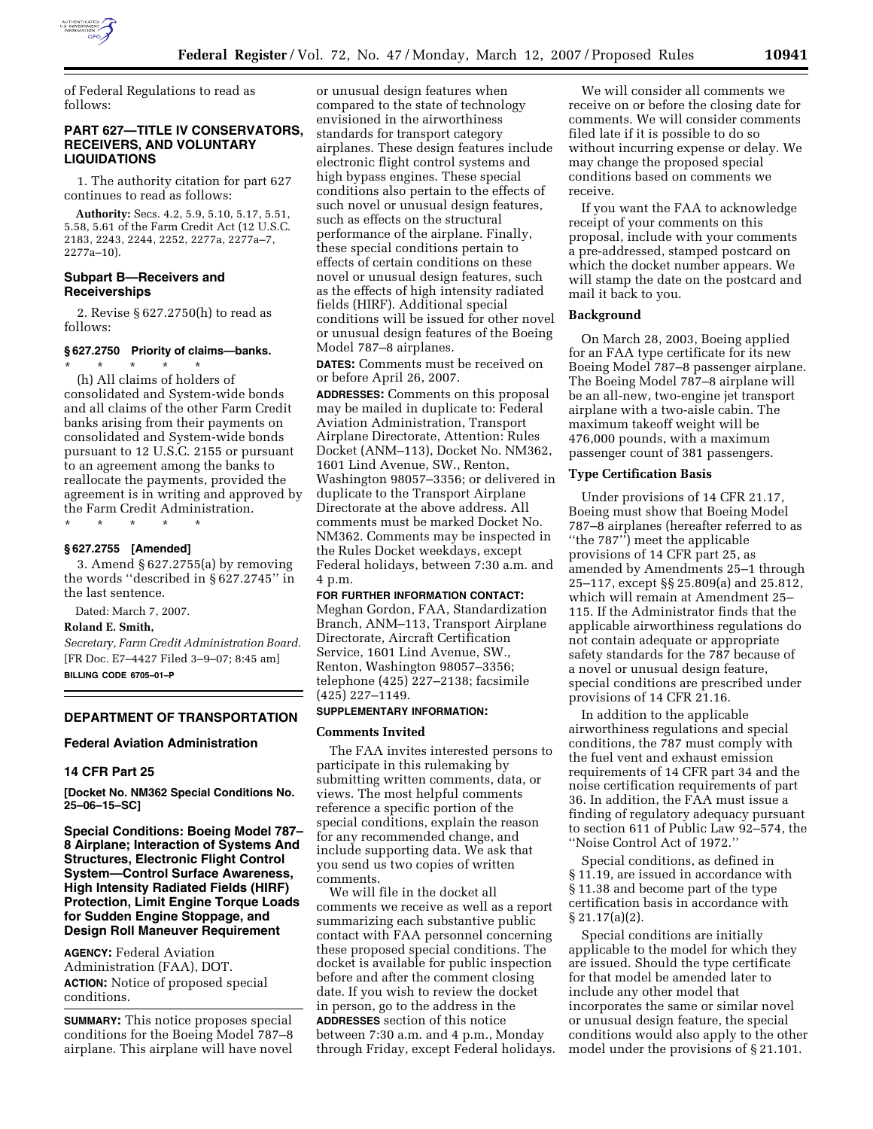

of Federal Regulations to read as follows:

### **PART 627—TITLE IV CONSERVATORS, RECEIVERS, AND VOLUNTARY LIQUIDATIONS**

1. The authority citation for part 627 continues to read as follows:

**Authority:** Secs. 4.2, 5.9, 5.10, 5.17, 5.51, 5.58, 5.61 of the Farm Credit Act (12 U.S.C. 2183, 2243, 2244, 2252, 2277a, 2277a–7, 2277a–10).

# **Subpart B—Receivers and Receiverships**

2. Revise § 627.2750(h) to read as follows:

# **§ 627.2750 Priority of claims—banks.**  \* \* \* \* \*

(h) All claims of holders of consolidated and System-wide bonds and all claims of the other Farm Credit banks arising from their payments on consolidated and System-wide bonds pursuant to 12 U.S.C. 2155 or pursuant to an agreement among the banks to reallocate the payments, provided the agreement is in writing and approved by the Farm Credit Administration.

\* \* \* \* \*

## **§ 627.2755 [Amended]**

3. Amend § 627.2755(a) by removing the words ''described in § 627.2745'' in the last sentence.

Dated: March 7, 2007.

## **Roland E. Smith,**

*Secretary, Farm Credit Administration Board.*  [FR Doc. E7–4427 Filed 3–9–07; 8:45 am] **BILLING CODE 6705–01–P** 

### **DEPARTMENT OF TRANSPORTATION**

#### **Federal Aviation Administration**

### **14 CFR Part 25**

**[Docket No. NM362 Special Conditions No. 25–06–15–SC]** 

**Special Conditions: Boeing Model 787– 8 Airplane; Interaction of Systems And Structures, Electronic Flight Control System—Control Surface Awareness, High Intensity Radiated Fields (HIRF) Protection, Limit Engine Torque Loads for Sudden Engine Stoppage, and Design Roll Maneuver Requirement** 

**AGENCY:** Federal Aviation Administration (FAA), DOT. **ACTION:** Notice of proposed special conditions.

**SUMMARY:** This notice proposes special conditions for the Boeing Model 787–8 airplane. This airplane will have novel

or unusual design features when compared to the state of technology envisioned in the airworthiness standards for transport category airplanes. These design features include electronic flight control systems and high bypass engines. These special conditions also pertain to the effects of such novel or unusual design features, such as effects on the structural performance of the airplane. Finally, these special conditions pertain to effects of certain conditions on these novel or unusual design features, such as the effects of high intensity radiated fields (HIRF). Additional special conditions will be issued for other novel or unusual design features of the Boeing Model 787–8 airplanes.

**DATES:** Comments must be received on or before April 26, 2007.

**ADDRESSES:** Comments on this proposal may be mailed in duplicate to: Federal Aviation Administration, Transport Airplane Directorate, Attention: Rules Docket (ANM–113), Docket No. NM362, 1601 Lind Avenue, SW., Renton, Washington 98057–3356; or delivered in duplicate to the Transport Airplane Directorate at the above address. All comments must be marked Docket No. NM362. Comments may be inspected in the Rules Docket weekdays, except Federal holidays, between 7:30 a.m. and 4 p.m.

# **FOR FURTHER INFORMATION CONTACT:**

Meghan Gordon, FAA, Standardization Branch, ANM–113, Transport Airplane Directorate, Aircraft Certification Service, 1601 Lind Avenue, SW., Renton, Washington 98057–3356; telephone (425) 227–2138; facsimile (425) 227–1149.

# **SUPPLEMENTARY INFORMATION:**

#### **Comments Invited**

The FAA invites interested persons to participate in this rulemaking by submitting written comments, data, or views. The most helpful comments reference a specific portion of the special conditions, explain the reason for any recommended change, and include supporting data. We ask that you send us two copies of written comments.

We will file in the docket all comments we receive as well as a report summarizing each substantive public contact with FAA personnel concerning these proposed special conditions. The docket is available for public inspection before and after the comment closing date. If you wish to review the docket in person, go to the address in the **ADDRESSES** section of this notice between 7:30 a.m. and 4 p.m., Monday through Friday, except Federal holidays.

We will consider all comments we receive on or before the closing date for comments. We will consider comments filed late if it is possible to do so without incurring expense or delay. We may change the proposed special conditions based on comments we receive.

If you want the FAA to acknowledge receipt of your comments on this proposal, include with your comments a pre-addressed, stamped postcard on which the docket number appears. We will stamp the date on the postcard and mail it back to you.

#### **Background**

On March 28, 2003, Boeing applied for an FAA type certificate for its new Boeing Model 787–8 passenger airplane. The Boeing Model 787–8 airplane will be an all-new, two-engine jet transport airplane with a two-aisle cabin. The maximum takeoff weight will be 476,000 pounds, with a maximum passenger count of 381 passengers.

# **Type Certification Basis**

Under provisions of 14 CFR 21.17, Boeing must show that Boeing Model 787–8 airplanes (hereafter referred to as ''the 787'') meet the applicable provisions of 14 CFR part 25, as amended by Amendments 25–1 through 25–117, except §§ 25.809(a) and 25.812, which will remain at Amendment 25– 115. If the Administrator finds that the applicable airworthiness regulations do not contain adequate or appropriate safety standards for the 787 because of a novel or unusual design feature, special conditions are prescribed under provisions of 14 CFR 21.16.

In addition to the applicable airworthiness regulations and special conditions, the 787 must comply with the fuel vent and exhaust emission requirements of 14 CFR part 34 and the noise certification requirements of part 36. In addition, the FAA must issue a finding of regulatory adequacy pursuant to section 611 of Public Law 92–574, the ''Noise Control Act of 1972.''

Special conditions, as defined in § 11.19, are issued in accordance with § 11.38 and become part of the type certification basis in accordance with  $§ 21.17(a)(2).$ 

Special conditions are initially applicable to the model for which they are issued. Should the type certificate for that model be amended later to include any other model that incorporates the same or similar novel or unusual design feature, the special conditions would also apply to the other model under the provisions of § 21.101.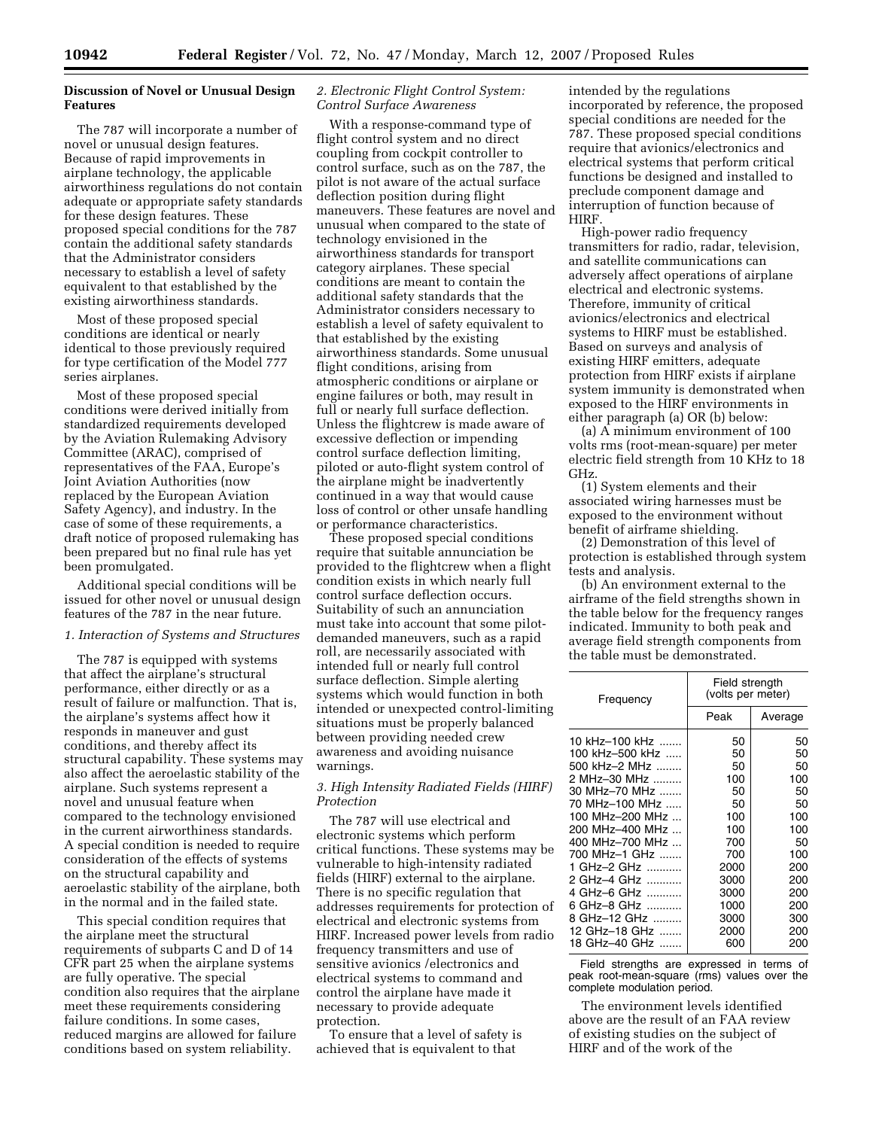# **Discussion of Novel or Unusual Design Features**

The 787 will incorporate a number of novel or unusual design features. Because of rapid improvements in airplane technology, the applicable airworthiness regulations do not contain adequate or appropriate safety standards for these design features. These proposed special conditions for the 787 contain the additional safety standards that the Administrator considers necessary to establish a level of safety equivalent to that established by the existing airworthiness standards.

Most of these proposed special conditions are identical or nearly identical to those previously required for type certification of the Model 777 series airplanes.

Most of these proposed special conditions were derived initially from standardized requirements developed by the Aviation Rulemaking Advisory Committee (ARAC), comprised of representatives of the FAA, Europe's Joint Aviation Authorities (now replaced by the European Aviation Safety Agency), and industry. In the case of some of these requirements, a draft notice of proposed rulemaking has been prepared but no final rule has yet been promulgated.

Additional special conditions will be issued for other novel or unusual design features of the 787 in the near future.

### *1. Interaction of Systems and Structures*

The 787 is equipped with systems that affect the airplane's structural performance, either directly or as a result of failure or malfunction. That is, the airplane's systems affect how it responds in maneuver and gust conditions, and thereby affect its structural capability. These systems may also affect the aeroelastic stability of the airplane. Such systems represent a novel and unusual feature when compared to the technology envisioned in the current airworthiness standards. A special condition is needed to require consideration of the effects of systems on the structural capability and aeroelastic stability of the airplane, both in the normal and in the failed state.

This special condition requires that the airplane meet the structural requirements of subparts C and D of 14 CFR part 25 when the airplane systems are fully operative. The special condition also requires that the airplane meet these requirements considering failure conditions. In some cases, reduced margins are allowed for failure conditions based on system reliability.

## *2. Electronic Flight Control System: Control Surface Awareness*

With a response-command type of flight control system and no direct coupling from cockpit controller to control surface, such as on the 787, the pilot is not aware of the actual surface deflection position during flight maneuvers. These features are novel and unusual when compared to the state of technology envisioned in the airworthiness standards for transport category airplanes. These special conditions are meant to contain the additional safety standards that the Administrator considers necessary to establish a level of safety equivalent to that established by the existing airworthiness standards. Some unusual flight conditions, arising from atmospheric conditions or airplane or engine failures or both, may result in full or nearly full surface deflection. Unless the flightcrew is made aware of excessive deflection or impending control surface deflection limiting, piloted or auto-flight system control of the airplane might be inadvertently continued in a way that would cause loss of control or other unsafe handling or performance characteristics.

These proposed special conditions require that suitable annunciation be provided to the flightcrew when a flight condition exists in which nearly full control surface deflection occurs. Suitability of such an annunciation must take into account that some pilotdemanded maneuvers, such as a rapid roll, are necessarily associated with intended full or nearly full control surface deflection. Simple alerting systems which would function in both intended or unexpected control-limiting situations must be properly balanced between providing needed crew awareness and avoiding nuisance warnings.

## *3. High Intensity Radiated Fields (HIRF) Protection*

The 787 will use electrical and electronic systems which perform critical functions. These systems may be vulnerable to high-intensity radiated fields (HIRF) external to the airplane. There is no specific regulation that addresses requirements for protection of electrical and electronic systems from HIRF. Increased power levels from radio frequency transmitters and use of sensitive avionics /electronics and electrical systems to command and control the airplane have made it necessary to provide adequate protection.

To ensure that a level of safety is achieved that is equivalent to that

intended by the regulations incorporated by reference, the proposed special conditions are needed for the 787. These proposed special conditions require that avionics/electronics and electrical systems that perform critical functions be designed and installed to preclude component damage and interruption of function because of HIRF.

High-power radio frequency transmitters for radio, radar, television, and satellite communications can adversely affect operations of airplane electrical and electronic systems. Therefore, immunity of critical avionics/electronics and electrical systems to HIRF must be established. Based on surveys and analysis of existing HIRF emitters, adequate protection from HIRF exists if airplane system immunity is demonstrated when exposed to the HIRF environments in either paragraph (a) OR (b) below:

(a) A minimum environment of 100 volts rms (root-mean-square) per meter electric field strength from 10 KHz to 18 GHz.

(1) System elements and their associated wiring harnesses must be exposed to the environment without benefit of airframe shielding.

(2) Demonstration of this level of protection is established through system tests and analysis.

(b) An environment external to the airframe of the field strengths shown in the table below for the frequency ranges indicated. Immunity to both peak and average field strength components from the table must be demonstrated.

| Frequency           | Field strength<br>(volts per meter) |         |
|---------------------|-------------------------------------|---------|
|                     | Peak                                | Average |
| 10 kHz-100 kHz      | 50                                  | 50      |
| 100 kHz-500 kHz     | 50                                  | 50      |
| 500 kHz-2 MHz       | 50                                  | 50      |
| 2 MHz-30 MHz        | 100                                 | 100     |
| 30 MHz-70 MHz       | 50                                  | 50      |
| 70 MHz–100 MHz      | 50                                  | 50      |
| 100 MHz-200 MHz     | 100                                 | 100     |
| 200 MHz-400 MHz     | 100                                 | 100     |
| 400 MHz-700 MHz     | 700                                 | 50      |
| 700 MHz–1 GHz       | 700                                 | 100     |
| GHz-2 GHz           | 2000                                | 200     |
| 2 GHz-4 GHz<br>.    | 3000                                | 200     |
| GHz-6 GHz<br>4<br>. | 3000                                | 200     |
| GHz-8 GHz<br>ิค     | 1000                                | 200     |
| 8 GHz–12 GHz ………    | 3000                                | 300     |
| 12 GHz-18 GHz       | 2000                                | 200     |
| 18 GHz-40 GHz<br>.  | 600                                 | 200     |

Field strengths are expressed in terms of peak root-mean-square (rms) values over the complete modulation period.

The environment levels identified above are the result of an FAA review of existing studies on the subject of HIRF and of the work of the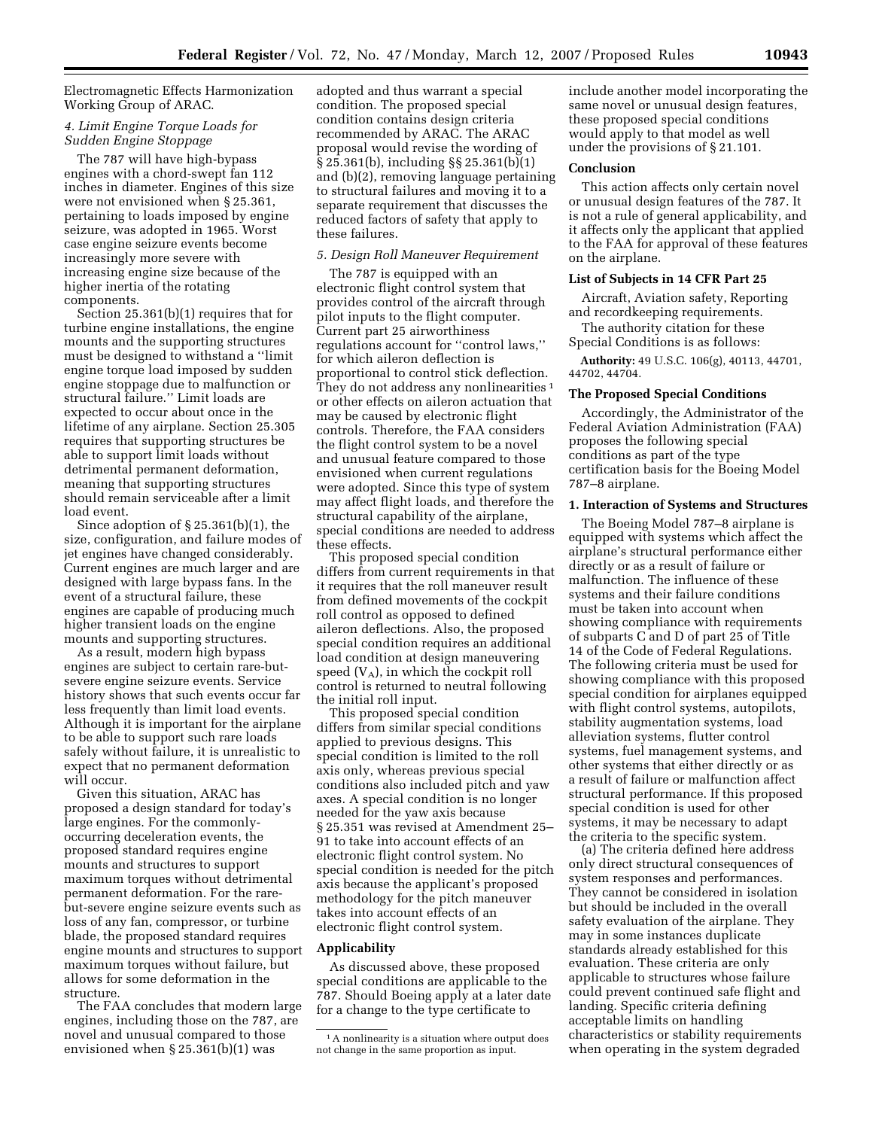# Electromagnetic Effects Harmonization Working Group of ARAC.

## *4. Limit Engine Torque Loads for Sudden Engine Stoppage*

The 787 will have high-bypass engines with a chord-swept fan 112 inches in diameter. Engines of this size were not envisioned when § 25.361, pertaining to loads imposed by engine seizure, was adopted in 1965. Worst case engine seizure events become increasingly more severe with increasing engine size because of the higher inertia of the rotating components.

Section 25.361(b)(1) requires that for turbine engine installations, the engine mounts and the supporting structures must be designed to withstand a ''limit engine torque load imposed by sudden engine stoppage due to malfunction or structural failure.'' Limit loads are expected to occur about once in the lifetime of any airplane. Section 25.305 requires that supporting structures be able to support limit loads without detrimental permanent deformation, meaning that supporting structures should remain serviceable after a limit load event.

Since adoption of § 25.361(b)(1), the size, configuration, and failure modes of jet engines have changed considerably. Current engines are much larger and are designed with large bypass fans. In the event of a structural failure, these engines are capable of producing much higher transient loads on the engine mounts and supporting structures.

As a result, modern high bypass engines are subject to certain rare-butsevere engine seizure events. Service history shows that such events occur far less frequently than limit load events. Although it is important for the airplane to be able to support such rare loads safely without failure, it is unrealistic to expect that no permanent deformation will occur.

Given this situation, ARAC has proposed a design standard for today's large engines. For the commonlyoccurring deceleration events, the proposed standard requires engine mounts and structures to support maximum torques without detrimental permanent deformation. For the rarebut-severe engine seizure events such as loss of any fan, compressor, or turbine blade, the proposed standard requires engine mounts and structures to support maximum torques without failure, but allows for some deformation in the structure.

The FAA concludes that modern large engines, including those on the 787, are novel and unusual compared to those envisioned when § 25.361(b)(1) was

adopted and thus warrant a special condition. The proposed special condition contains design criteria recommended by ARAC. The ARAC proposal would revise the wording of § 25.361(b), including §§ 25.361(b)(1) and (b)(2), removing language pertaining to structural failures and moving it to a separate requirement that discusses the reduced factors of safety that apply to these failures.

#### *5. Design Roll Maneuver Requirement*

The 787 is equipped with an electronic flight control system that provides control of the aircraft through pilot inputs to the flight computer. Current part 25 airworthiness regulations account for ''control laws,'' for which aileron deflection is proportional to control stick deflection. They do not address any nonlinearities<sup>1</sup> or other effects on aileron actuation that may be caused by electronic flight controls. Therefore, the FAA considers the flight control system to be a novel and unusual feature compared to those envisioned when current regulations were adopted. Since this type of system may affect flight loads, and therefore the structural capability of the airplane, special conditions are needed to address these effects.

This proposed special condition differs from current requirements in that it requires that the roll maneuver result from defined movements of the cockpit roll control as opposed to defined aileron deflections. Also, the proposed special condition requires an additional load condition at design maneuvering speed  $(V_A)$ , in which the cockpit roll control is returned to neutral following the initial roll input.

This proposed special condition differs from similar special conditions applied to previous designs. This special condition is limited to the roll axis only, whereas previous special conditions also included pitch and yaw axes. A special condition is no longer needed for the yaw axis because § 25.351 was revised at Amendment 25– 91 to take into account effects of an electronic flight control system. No special condition is needed for the pitch axis because the applicant's proposed methodology for the pitch maneuver takes into account effects of an electronic flight control system.

### **Applicability**

As discussed above, these proposed special conditions are applicable to the 787. Should Boeing apply at a later date for a change to the type certificate to

include another model incorporating the same novel or unusual design features, these proposed special conditions would apply to that model as well under the provisions of § 21.101.

#### **Conclusion**

This action affects only certain novel or unusual design features of the 787. It is not a rule of general applicability, and it affects only the applicant that applied to the FAA for approval of these features on the airplane.

## **List of Subjects in 14 CFR Part 25**

Aircraft, Aviation safety, Reporting and recordkeeping requirements.

The authority citation for these Special Conditions is as follows:

**Authority:** 49 U.S.C. 106(g), 40113, 44701, 44702, 44704.

### **The Proposed Special Conditions**

Accordingly, the Administrator of the Federal Aviation Administration (FAA) proposes the following special conditions as part of the type certification basis for the Boeing Model 787–8 airplane.

### **1. Interaction of Systems and Structures**

The Boeing Model 787–8 airplane is equipped with systems which affect the airplane's structural performance either directly or as a result of failure or malfunction. The influence of these systems and their failure conditions must be taken into account when showing compliance with requirements of subparts C and D of part 25 of Title 14 of the Code of Federal Regulations. The following criteria must be used for showing compliance with this proposed special condition for airplanes equipped with flight control systems, autopilots, stability augmentation systems, load alleviation systems, flutter control systems, fuel management systems, and other systems that either directly or as a result of failure or malfunction affect structural performance. If this proposed special condition is used for other systems, it may be necessary to adapt the criteria to the specific system.

(a) The criteria defined here address only direct structural consequences of system responses and performances. They cannot be considered in isolation but should be included in the overall safety evaluation of the airplane. They may in some instances duplicate standards already established for this evaluation. These criteria are only applicable to structures whose failure could prevent continued safe flight and landing. Specific criteria defining acceptable limits on handling characteristics or stability requirements when operating in the system degraded

<sup>&</sup>lt;sup>1</sup>A nonlinearity is a situation where output does not change in the same proportion as input.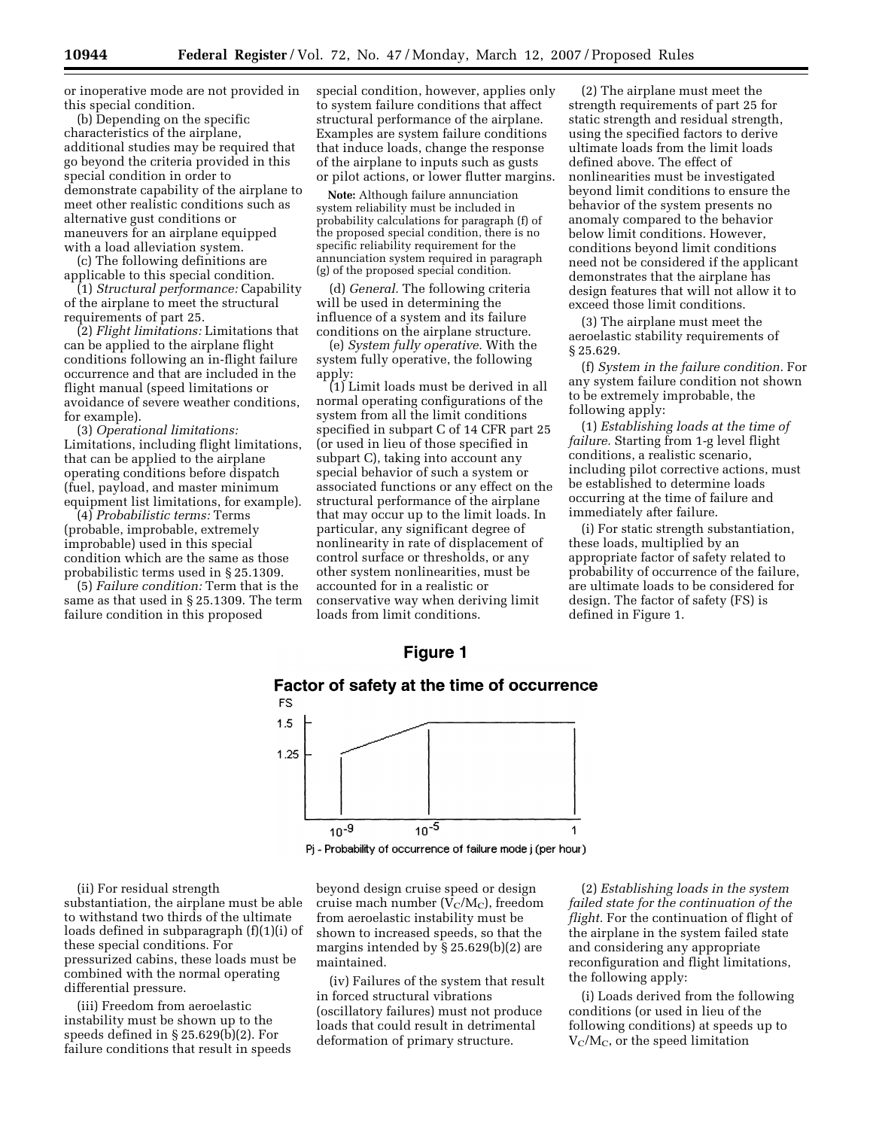or inoperative mode are not provided in this special condition.

(b) Depending on the specific characteristics of the airplane, additional studies may be required that go beyond the criteria provided in this special condition in order to demonstrate capability of the airplane to meet other realistic conditions such as alternative gust conditions or maneuvers for an airplane equipped with a load alleviation system.

(c) The following definitions are applicable to this special condition.

(1) *Structural performance:* Capability of the airplane to meet the structural requirements of part 25.

(2) *Flight limitations:* Limitations that can be applied to the airplane flight conditions following an in-flight failure occurrence and that are included in the flight manual (speed limitations or avoidance of severe weather conditions, for example).

(3) *Operational limitations:*  Limitations, including flight limitations, that can be applied to the airplane operating conditions before dispatch (fuel, payload, and master minimum equipment list limitations, for example).

(4) *Probabilistic terms:* Terms (probable, improbable, extremely improbable) used in this special condition which are the same as those probabilistic terms used in § 25.1309.

(5) *Failure condition:* Term that is the same as that used in § 25.1309. The term failure condition in this proposed

special condition, however, applies only to system failure conditions that affect structural performance of the airplane. Examples are system failure conditions that induce loads, change the response of the airplane to inputs such as gusts or pilot actions, or lower flutter margins.

**Note:** Although failure annunciation system reliability must be included in probability calculations for paragraph (f) of the proposed special condition, there is no specific reliability requirement for the annunciation system required in paragraph (g) of the proposed special condition.

(d) *General.* The following criteria will be used in determining the influence of a system and its failure conditions on the airplane structure.

(e) *System fully operative.* With the system fully operative, the following apply:

(1) Limit loads must be derived in all normal operating configurations of the system from all the limit conditions specified in subpart C of 14 CFR part 25 (or used in lieu of those specified in subpart C), taking into account any special behavior of such a system or associated functions or any effect on the structural performance of the airplane that may occur up to the limit loads. In particular, any significant degree of nonlinearity in rate of displacement of control surface or thresholds, or any other system nonlinearities, must be accounted for in a realistic or conservative way when deriving limit loads from limit conditions.

(2) The airplane must meet the strength requirements of part 25 for static strength and residual strength, using the specified factors to derive ultimate loads from the limit loads defined above. The effect of nonlinearities must be investigated beyond limit conditions to ensure the behavior of the system presents no anomaly compared to the behavior below limit conditions. However, conditions beyond limit conditions need not be considered if the applicant demonstrates that the airplane has design features that will not allow it to exceed those limit conditions.

(3) The airplane must meet the aeroelastic stability requirements of § 25.629.

(f) *System in the failure condition.* For any system failure condition not shown to be extremely improbable, the following apply:

(1) *Establishing loads at the time of failure.* Starting from 1-g level flight conditions, a realistic scenario, including pilot corrective actions, must be established to determine loads occurring at the time of failure and immediately after failure.

(i) For static strength substantiation, these loads, multiplied by an appropriate factor of safety related to probability of occurrence of the failure, are ultimate loads to be considered for design. The factor of safety (FS) is defined in Figure 1.

# **Figure 1**





Pj - Probability of occurrence of failure mode j (per hour)

(ii) For residual strength substantiation, the airplane must be able to withstand two thirds of the ultimate loads defined in subparagraph (f)(1)(i) of these special conditions. For pressurized cabins, these loads must be combined with the normal operating differential pressure.

(iii) Freedom from aeroelastic instability must be shown up to the speeds defined in § 25.629(b)(2). For failure conditions that result in speeds

beyond design cruise speed or design cruise mach number  $(V_C/M_C)$ , freedom from aeroelastic instability must be shown to increased speeds, so that the margins intended by § 25.629(b)(2) are maintained.

(iv) Failures of the system that result in forced structural vibrations (oscillatory failures) must not produce loads that could result in detrimental deformation of primary structure.

(2) *Establishing loads in the system failed state for the continuation of the flight.* For the continuation of flight of the airplane in the system failed state and considering any appropriate reconfiguration and flight limitations, the following apply:

(i) Loads derived from the following conditions (or used in lieu of the following conditions) at speeds up to  $V_{\rm C}/M_{\rm C}$ , or the speed limitation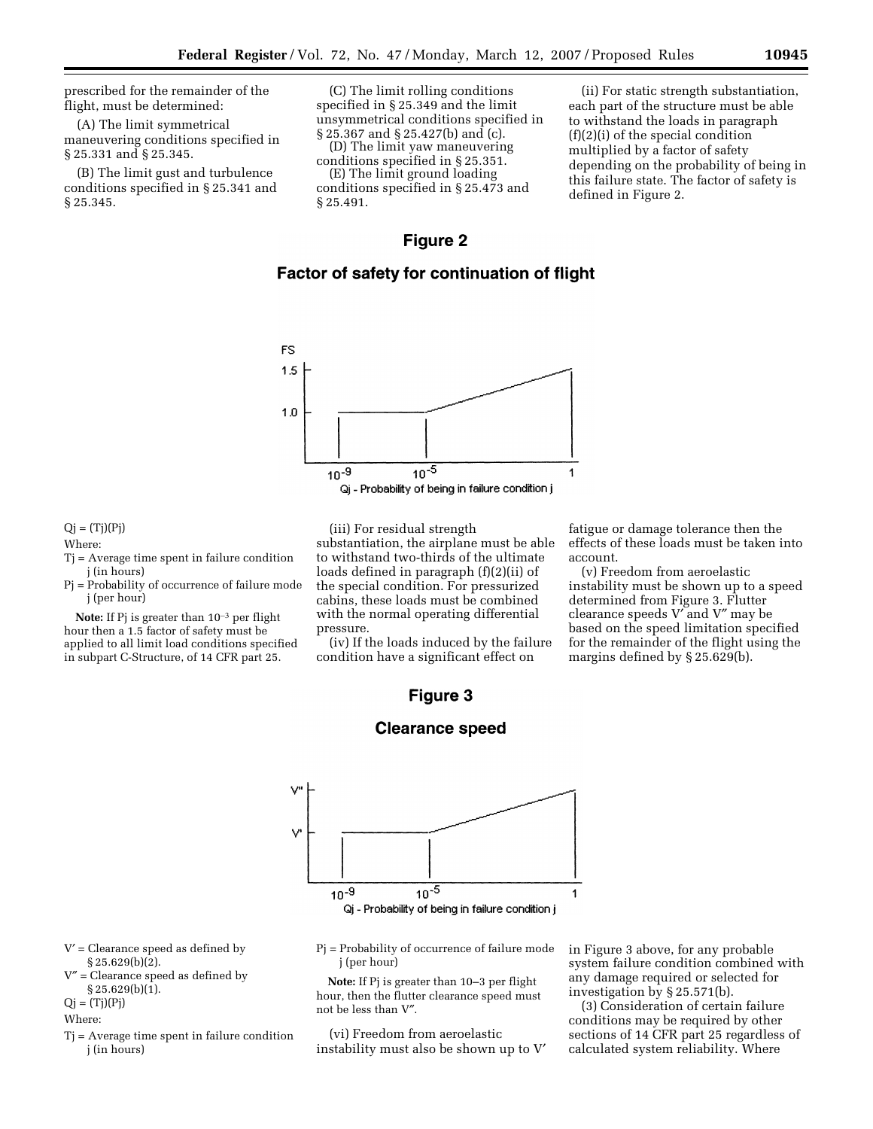prescribed for the remainder of the flight, must be determined:

(A) The limit symmetrical maneuvering conditions specified in § 25.331 and § 25.345.

(B) The limit gust and turbulence conditions specified in § 25.341 and § 25.345.

(C) The limit rolling conditions specified in § 25.349 and the limit unsymmetrical conditions specified in § 25.367 and § 25.427(b) and (c).

(D) The limit yaw maneuvering conditions specified in § 25.351. (E) The limit ground loading

conditions specified in § 25.473 and § 25.491.

(ii) For static strength substantiation, each part of the structure must be able to withstand the loads in paragraph (f)(2)(i) of the special condition multiplied by a factor of safety depending on the probability of being in this failure state. The factor of safety is defined in Figure 2.

# **Figure 2**

# Factor of safety for continuation of flight



 $Qj = (Tj)(Pi)$ 

Where:

- Tj = Average time spent in failure condition j (in hours)
- Pj = Probability of occurrence of failure mode j (per hour)

**Note:** If Pj is greater than 10–3 per flight hour then a 1.5 factor of safety must be applied to all limit load conditions specified in subpart C-Structure, of 14 CFR part 25.

(iii) For residual strength substantiation, the airplane must be able to withstand two-thirds of the ultimate loads defined in paragraph (f)(2)(ii) of the special condition. For pressurized cabins, these loads must be combined with the normal operating differential pressure.

(iv) If the loads induced by the failure condition have a significant effect on

# Figure 3



j (per hour)

not be less than V″.

(vi) Freedom from aeroelastic instability must also be shown up to V′

**Clearance speed** 

Pj = Probability of occurrence of failure mode **Note:** If Pj is greater than 10–3 per flight hour, then the flutter clearance speed must in Figure 3 above, for any probable system failure condition combined with any damage required or selected for investigation by § 25.571(b).

(3) Consideration of certain failure conditions may be required by other sections of 14 CFR part 25 regardless of calculated system reliability. Where

- V′ = Clearance speed as defined by § 25.629(b)(2).
- V″ = Clearance speed as defined by § 25.629(b)(1).
- $Qj = (Tj)(Pj)$

## Where:

Tj = Average time spent in failure condition j (in hours)



(v) Freedom from aeroelastic instability must be shown up to a speed determined from Figure 3. Flutter clearance speeds V′ and V″ may be based on the speed limitation specified for the remainder of the flight using the margins defined by § 25.629(b).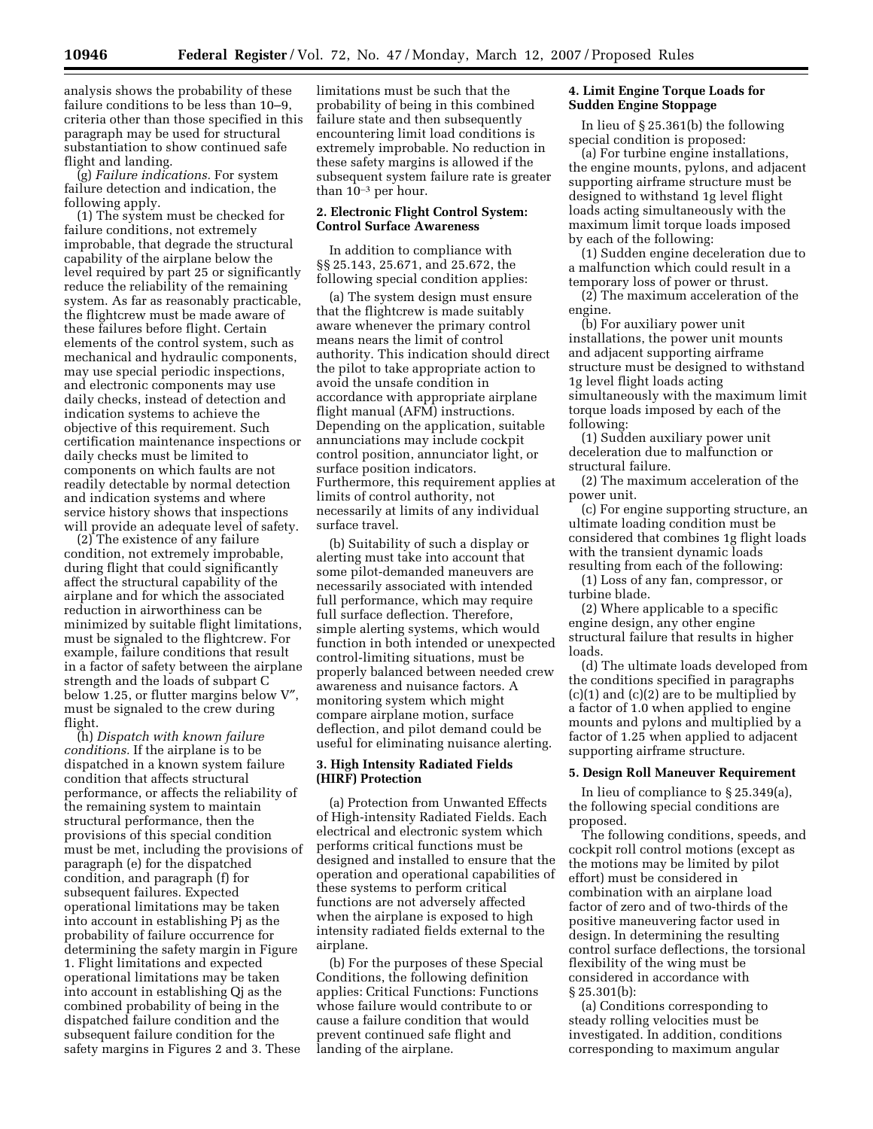analysis shows the probability of these failure conditions to be less than 10–9, criteria other than those specified in this paragraph may be used for structural substantiation to show continued safe flight and landing.

(g) *Failure indications.* For system failure detection and indication, the following apply.

(1) The system must be checked for failure conditions, not extremely improbable, that degrade the structural capability of the airplane below the level required by part 25 or significantly reduce the reliability of the remaining system. As far as reasonably practicable, the flightcrew must be made aware of these failures before flight. Certain elements of the control system, such as mechanical and hydraulic components, may use special periodic inspections, and electronic components may use daily checks, instead of detection and indication systems to achieve the objective of this requirement. Such certification maintenance inspections or daily checks must be limited to components on which faults are not readily detectable by normal detection and indication systems and where service history shows that inspections will provide an adequate level of safety.

(2) The existence of any failure condition, not extremely improbable, during flight that could significantly affect the structural capability of the airplane and for which the associated reduction in airworthiness can be minimized by suitable flight limitations, must be signaled to the flightcrew. For example, failure conditions that result in a factor of safety between the airplane strength and the loads of subpart C below 1.25, or flutter margins below V″, must be signaled to the crew during flight.

(h) *Dispatch with known failure conditions.* If the airplane is to be dispatched in a known system failure condition that affects structural performance, or affects the reliability of the remaining system to maintain structural performance, then the provisions of this special condition must be met, including the provisions of paragraph (e) for the dispatched condition, and paragraph (f) for subsequent failures. Expected operational limitations may be taken into account in establishing Pj as the probability of failure occurrence for determining the safety margin in Figure 1. Flight limitations and expected operational limitations may be taken into account in establishing Qj as the combined probability of being in the dispatched failure condition and the subsequent failure condition for the safety margins in Figures 2 and 3. These

limitations must be such that the probability of being in this combined failure state and then subsequently encountering limit load conditions is extremely improbable. No reduction in these safety margins is allowed if the subsequent system failure rate is greater than  $10^{-3}$  per hour.

### **2. Electronic Flight Control System: Control Surface Awareness**

In addition to compliance with §§ 25.143, 25.671, and 25.672, the following special condition applies:

(a) The system design must ensure that the flightcrew is made suitably aware whenever the primary control means nears the limit of control authority. This indication should direct the pilot to take appropriate action to avoid the unsafe condition in accordance with appropriate airplane flight manual (AFM) instructions. Depending on the application, suitable annunciations may include cockpit control position, annunciator light, or surface position indicators. Furthermore, this requirement applies at limits of control authority, not necessarily at limits of any individual surface travel.

(b) Suitability of such a display or alerting must take into account that some pilot-demanded maneuvers are necessarily associated with intended full performance, which may require full surface deflection. Therefore, simple alerting systems, which would function in both intended or unexpected control-limiting situations, must be properly balanced between needed crew awareness and nuisance factors. A monitoring system which might compare airplane motion, surface deflection, and pilot demand could be useful for eliminating nuisance alerting.

## **3. High Intensity Radiated Fields (HIRF) Protection**

(a) Protection from Unwanted Effects of High-intensity Radiated Fields. Each electrical and electronic system which performs critical functions must be designed and installed to ensure that the operation and operational capabilities of these systems to perform critical functions are not adversely affected when the airplane is exposed to high intensity radiated fields external to the airplane.

(b) For the purposes of these Special Conditions, the following definition applies: Critical Functions: Functions whose failure would contribute to or cause a failure condition that would prevent continued safe flight and landing of the airplane.

## **4. Limit Engine Torque Loads for Sudden Engine Stoppage**

In lieu of § 25.361(b) the following special condition is proposed:

(a) For turbine engine installations, the engine mounts, pylons, and adjacent supporting airframe structure must be designed to withstand 1g level flight loads acting simultaneously with the maximum limit torque loads imposed by each of the following:

(1) Sudden engine deceleration due to a malfunction which could result in a temporary loss of power or thrust.

(2) The maximum acceleration of the engine.

(b) For auxiliary power unit installations, the power unit mounts and adjacent supporting airframe structure must be designed to withstand 1g level flight loads acting simultaneously with the maximum limit torque loads imposed by each of the following:

(1) Sudden auxiliary power unit deceleration due to malfunction or structural failure.

(2) The maximum acceleration of the power unit.

(c) For engine supporting structure, an ultimate loading condition must be considered that combines 1g flight loads with the transient dynamic loads resulting from each of the following:

(1) Loss of any fan, compressor, or turbine blade.

(2) Where applicable to a specific engine design, any other engine structural failure that results in higher loads.

(d) The ultimate loads developed from the conditions specified in paragraphs (c)(1) and (c)(2) are to be multiplied by a factor of 1.0 when applied to engine mounts and pylons and multiplied by a factor of 1.25 when applied to adjacent supporting airframe structure.

### **5. Design Roll Maneuver Requirement**

In lieu of compliance to § 25.349(a), the following special conditions are proposed.

The following conditions, speeds, and cockpit roll control motions (except as the motions may be limited by pilot effort) must be considered in combination with an airplane load factor of zero and of two-thirds of the positive maneuvering factor used in design. In determining the resulting control surface deflections, the torsional flexibility of the wing must be considered in accordance with § 25.301(b):

(a) Conditions corresponding to steady rolling velocities must be investigated. In addition, conditions corresponding to maximum angular